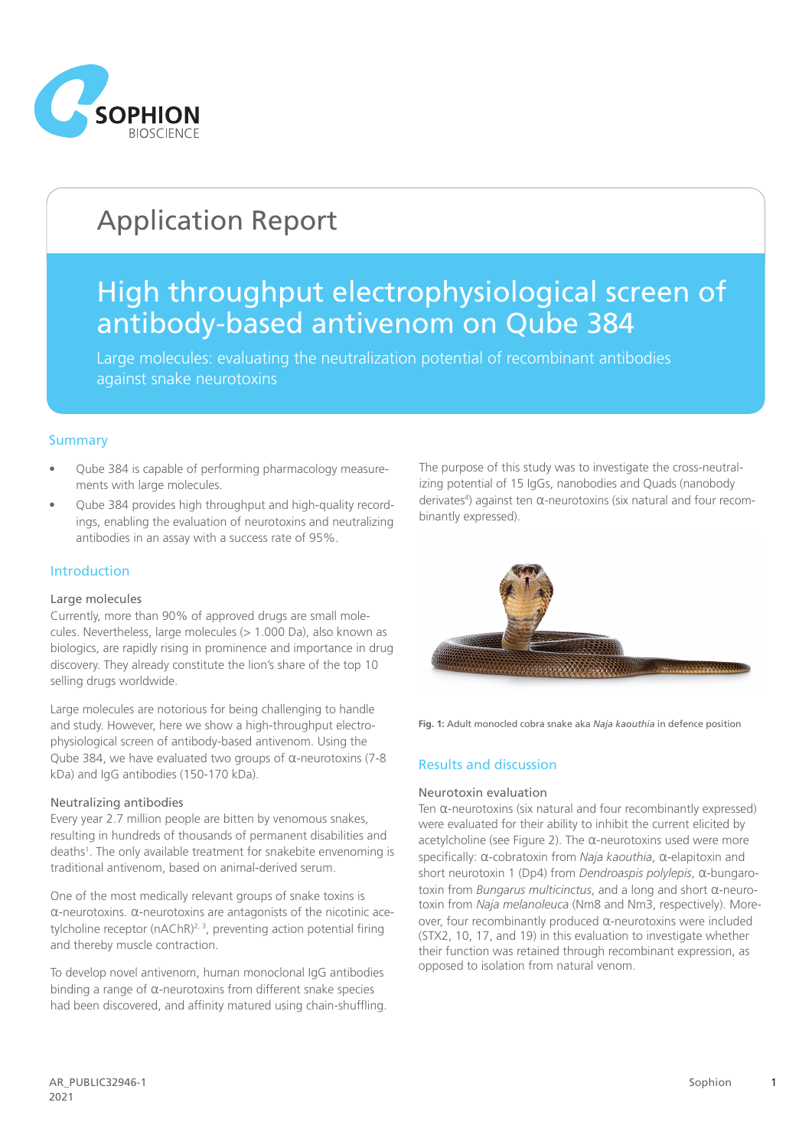

# Application Report

## High throughput electrophysiological screen of antibody-based antivenom on Qube 384

Large molecules: evaluating the neutralization potential of recombinant antibodies against snake neurotoxins

## **Summary**

- Qube 384 is capable of performing pharmacology measurements with large molecules.
- Qube 384 provides high throughput and high-quality recordings, enabling the evaluation of neurotoxins and neutralizing antibodies in an assay with a success rate of 95%.

## Introduction

#### Large molecules

Currently, more than 90% of approved drugs are small molecules. Nevertheless, large molecules (> 1.000 Da), also known as biologics, are rapidly rising in prominence and importance in drug discovery. They already constitute the lion's share of the top 10 selling drugs worldwide.

Large molecules are notorious for being challenging to handle and study. However, here we show a high-throughput electrophysiological screen of antibody-based antivenom. Using the Qube 384, we have evaluated two groups of α-neurotoxins (7-8 kDa) and IgG antibodies (150-170 kDa).

#### Neutralizing antibodies

Every year 2.7 million people are bitten by venomous snakes, resulting in hundreds of thousands of permanent disabilities and deaths<sup>1</sup>. The only available treatment for snakebite envenoming is traditional antivenom, based on animal-derived serum.

One of the most medically relevant groups of snake toxins is α-neurotoxins. α-neurotoxins are antagonists of the nicotinic acetylcholine receptor ( $n\Delta ChR$ )<sup>2, 3</sup>, preventing action potential firing and thereby muscle contraction.

To develop novel antivenom, human monoclonal IgG antibodies binding a range of  $\alpha$ -neurotoxins from different snake species had been discovered, and affinity matured using chain-shuffling. The purpose of this study was to investigate the cross-neutralizing potential of 15 IgGs, nanobodies and Quads (nanobody derivates<sup>4</sup>) against ten α-neurotoxins (six natural and four recombinantly expressed).



**Fig. 1:** Adult monocled cobra snake aka *Naja kaouthia* in defence position

#### Results and discussion

#### Neurotoxin evaluation

Ten α-neurotoxins (six natural and four recombinantly expressed) were evaluated for their ability to inhibit the current elicited by acetylcholine (see Figure 2). The α-neurotoxins used were more specifically: α-cobratoxin from *Naja kaouthia*, α-elapitoxin and short neurotoxin 1 (Dp4) from *Dendroaspis polylepis*, α-bungarotoxin from *Bungarus multicinctus*, and a long and short α-neurotoxin from *Naja melanoleuca* (Nm8 and Nm3, respectively). Moreover, four recombinantly produced α-neurotoxins were included (STX2, 10, 17, and 19) in this evaluation to investigate whether their function was retained through recombinant expression, as opposed to isolation from natural venom.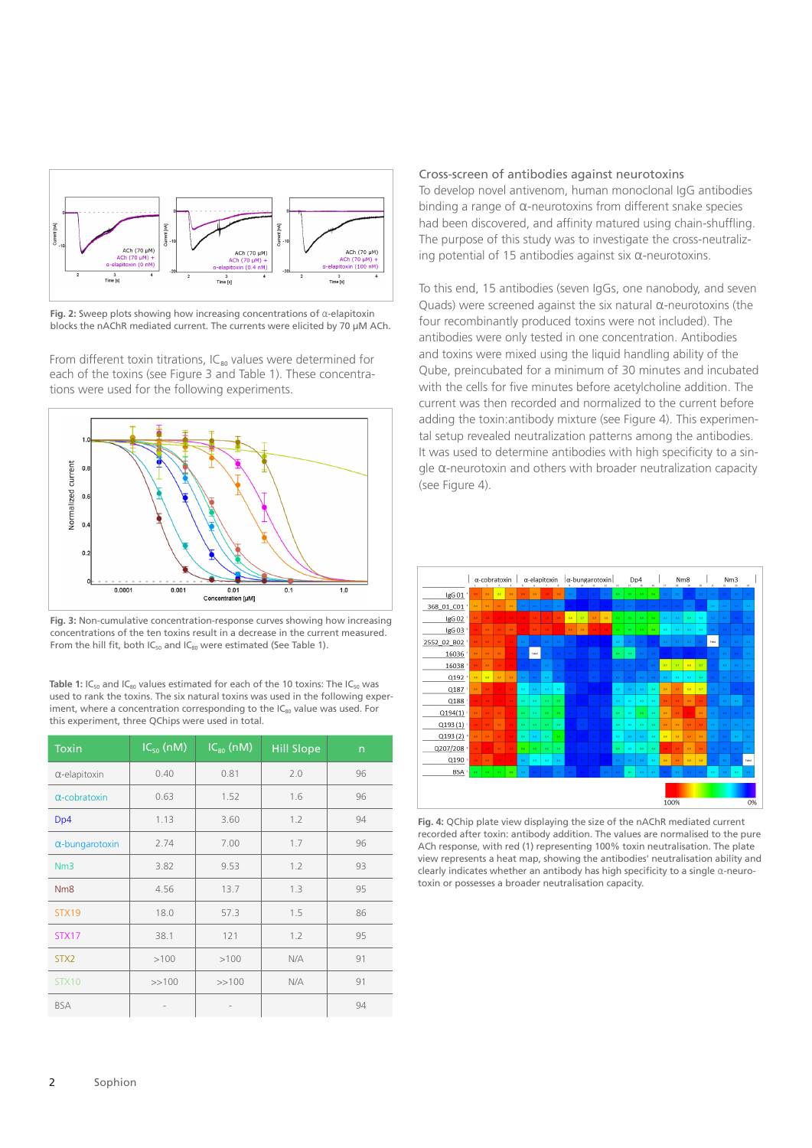

**Fig. 2:** Sweep plots showing how increasing concentrations of α-elapitoxin blocks the nAChR mediated current. The currents were elicited by 70 µM ACh.

From different toxin titrations,  $IC_{80}$  values were determined for each of the toxins (see Figure 3 and Table 1). These concentrations were used for the following experiments.



**Fig. 3:** Non-cumulative concentration-response curves showing how increasing concentrations of the ten toxins result in a decrease in the current measured. From the hill fit, both  $IC_{50}$  and  $IC_{80}$  were estimated (See Table 1).

**Table 1:** IC<sub>50</sub> and IC<sub>80</sub> values estimated for each of the 10 toxins: The IC<sub>50</sub> was used to rank the toxins. The six natural toxins was used in the following experiment, where a concentration corresponding to the  $IC_{80}$  value was used. For this experiment, three QChips were used in total.

| <b>Toxin</b>           | $IC_{50}$ (nM) | $IC_{80}$ (nM) | <b>Hill Slope</b> | $\mathsf{n}$ |
|------------------------|----------------|----------------|-------------------|--------------|
| $\alpha$ -elapitoxin   | 0.40           | 0.81           | 2.0               | 96           |
| $\alpha$ -cobratoxin   | 0.63           | 1.52           | 1.6               | 96           |
| D <sub>p</sub> 4       | 1.13           | 3.60           | 1.2               | 94           |
| $\alpha$ -bungarotoxin | 2.74           | 7.00           | 1.7               | 96           |
| Nm3                    | 3.82           | 9.53           | 1.2               | 93           |
| N <sub>m</sub> 8       | 4.56           | 13.7           | 1.3               | 95           |
| STX19                  | 18.0           | 57.3           | 1.5               | 86           |
| STX17                  | 38.1           | 121            | 1.2               | 95           |
| STX <sub>2</sub>       | >100           | >100           | N/A               | 91           |
| STX10                  | >>100          | >>100          | N/A               | 91           |
| <b>BSA</b>             |                |                |                   | 94           |

#### Cross-screen of antibodies against neurotoxins

To develop novel antivenom, human monoclonal IgG antibodies binding a range of α-neurotoxins from different snake species had been discovered, and affinity matured using chain-shuffling. The purpose of this study was to investigate the cross-neutralizing potential of 15 antibodies against six α-neurotoxins.

To this end, 15 antibodies (seven IgGs, one nanobody, and seven Quads) were screened against the six natural α-neurotoxins (the four recombinantly produced toxins were not included). The antibodies were only tested in one concentration. Antibodies and toxins were mixed using the liquid handling ability of the Qube, preincubated for a minimum of 30 minutes and incubated with the cells for five minutes before acetylcholine addition. The current was then recorded and normalized to the current before adding the toxin:antibody mixture (see Figure 4). This experimental setup revealed neutralization patterns among the antibodies. It was used to determine antibodies with high specificity to a single α-neurotoxin and others with broader neutralization capacity (see Figure 4).



**Fig. 4:** QChip plate view displaying the size of the nAChR mediated current recorded after toxin: antibody addition. The values are normalised to the pure ACh response, with red (1) representing 100% toxin neutralisation. The plate view represents a heat map, showing the antibodies' neutralisation ability and clearly indicates whether an antibody has high specificity to a single α-neurotoxin or possesses a broader neutralisation capacity.